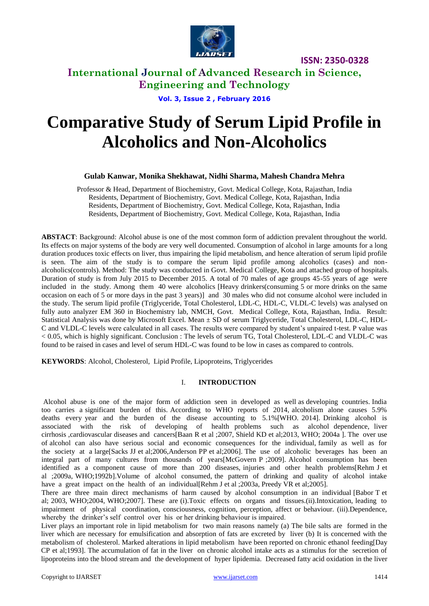

**International Journal of Advanced Research in Science, Engineering and Technology**

**Vol. 3, Issue 2 , February 2016**

# **Comparative Study of Serum Lipid Profile in Alcoholics and Non-Alcoholics**

#### **Gulab Kanwar, Monika Shekhawat, Nidhi Sharma, Mahesh Chandra Mehra**

Professor & Head, Department of Biochemistry, Govt. Medical College, Kota, Rajasthan, India Residents, Department of Biochemistry, Govt. Medical College, Kota, Rajasthan, India Residents, Department of Biochemistry, Govt. Medical College, Kota, Rajasthan, India Residents, Department of Biochemistry, Govt. Medical College, Kota, Rajasthan, India

**ABSTACT**: Background: Alcohol abuse is one of the most common form of addiction prevalent throughout the world. Its effects on major systems of the body are very well documented. Consumption of alcohol in large amounts for a long duration produces toxic effects on liver, thus impairing the lipid metabolism, and hence alteration of serum lipid profile is seen. The aim of the study is to compare the serum lipid profile among alcoholics (cases) and nonalcoholics(controls). Method: The study was conducted in Govt. Medical College, Kota and attached group of hospitals. Duration of study is from July 2015 to December 2015. A total of 70 males of age groups 45-55 years of age were included in the study. Among them 40 were alcoholics [Heavy drinkers(consuming 5 or more drinks on the same occasion on each of 5 or more days in the past 3 years)] and 30 males who did not consume alcohol were included in the study. The serum lipid profile (Triglyceride, Total Cholesterol, LDL-C, HDL-C, VLDL-C levels) was analysed on fully auto analyzer EM 360 in Biochemistry lab, NMCH, Govt. Medical College, Kota, Rajasthan, India. Result: Statistical Analysis was done by Microsoft Excel. Mean ± SD of serum Triglyceride, Total Cholesterol, LDL-C, HDL-C and VLDL-C levels were calculated in all cases. The results were compared by student's unpaired t-test. P value was < 0.05, which is highly significant. Conclusion : The levels of serum TG, Total Cholesterol, LDL-C and VLDL-C was found to be raised in cases and level of serum HDL-C was found to be low in cases as compared to controls.

**KEYWORDS**: Alcohol, Cholesterol, Lipid Profile, Lipoproteins, Triglycerides

#### I. **INTRODUCTION**

Alcohol abuse is one of the major form of addiction seen in developed as well as developing countries. India too carries a significant burden of this. According to WHO reports of 2014, alcoholism alone causes 5.9% deaths every year and the burden of the disease accounting to 5.1%[WHO. 2014]. Drinking alcohol is associated with the risk of developing of health problems such as alcohol dependence, liver cirrhosis ,cardiovascular diseases and cancers[Baan R et al ;2007, Shield KD et al;2013, WHO; 2004a ]. The over use of alcohol can also have serious social and economic consequences for the individual, family as well as for the society at a large[Sacks JJ et al;2006,Anderson PP et al;2006]. The use of alcoholic beverages has been an integral part of many cultures from thousands of years[McGovern P ;2009]. Alcohol consumption has been identified as a component cause of more than 200 diseases, injuries and other health problems[Rehm J et al ;2009a, WHO;1992b].Volume of alcohol consumed, the pattern of drinking and quality of alcohol intake have a great impact on the health of an individual[Rehm J et al ; 2003a, Preedy VR et al; 2005].

There are three main direct mechanisms of harm caused by alcohol consumption in an individual [Babor T et al; 2003, WHO;2004, WHO;2007]. These are (i).Toxic effects on organs and tissues.(ii).Intoxication, leading to impairment of physical coordination, consciousness, cognition, perception, affect or behaviour. (iii).Dependence, whereby the drinker's self control over his or her drinking behaviour is impaired.

Liver plays an important role in lipid metabolism for two main reasons namely (a) The bile salts are formed in the liver which are necessary for emulsification and absorption of fats are excreted by liver (b) It is concerned with the metabolism of cholesterol. Marked alterations in lipid metabolism have been reported on chronic ethanol feeding[Day CP et al;1993]. The accumulation of fat in the liver on chronic alcohol intake acts as a stimulus for the secretion of lipoproteins into the blood stream and the development of hyper lipidemia. Decreased fatty acid oxidation in the liver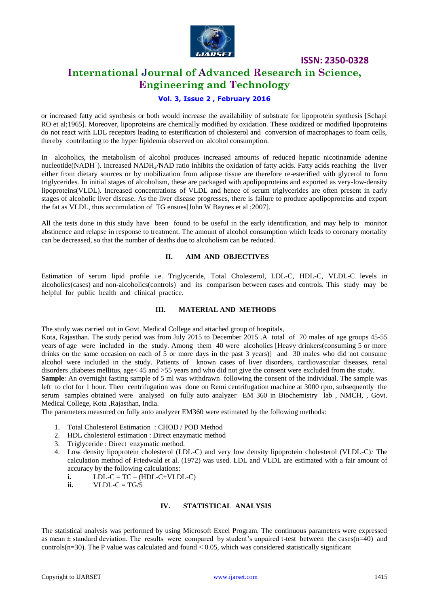

# **International Journal of Advanced Research in Science, Engineering and Technology**

#### **Vol. 3, Issue 2 , February 2016**

or increased fatty acid synthesis or both would increase the availability of substrate for lipoprotein synthesis [Schapi RO et al;1965]. Moreover, lipoproteins are chemically modified by oxidation. These oxidized or modified lipoproteins do not react with LDL receptors leading to esterification of cholesterol and conversion of macrophages to foam cells, thereby contributing to the hyper lipidemia observed on alcohol consumption.

In alcoholics, the metabolism of alcohol produces increased amounts of reduced hepatic nicotinamide adenine nucleotide(NADH<sup>+</sup>). Increased NADH<sub>2</sub>/NAD ratio inhibits the oxidation of fatty acids. Fatty acids reaching the liver either from dietary sources or by mobilization from adipose tissue are therefore re-esterified with glycerol to form triglycerides. In initial stages of alcoholism, these are packaged with apolipoproteins and exported as very-low-density lipoproteins(VLDL). Increased concentrations of VLDL and hence of serum triglycerides are often present in early stages of alcoholic liver disease. As the liver disease progresses, there is failure to produce apolipoproteins and export the fat as VLDL, thus accumulation of TG ensues[John W Baynes et al ;2007].

All the tests done in this study have been found to be useful in the early identification, and may help to monitor abstinence and relapse in response to treatment. The amount of alcohol consumption which leads to coronary mortality can be decreased, so that the number of deaths due to alcoholism can be reduced.

#### **II. AIM AND OBJECTIVES**

Estimation of serum lipid profile i.e. Triglyceride, Total Cholesterol, LDL-C, HDL-C, VLDL-C levels in alcoholics(cases) and non-alcoholics(controls) and its comparison between cases and controls. This study may be helpful for public health and clinical practice.

#### **III. MATERIAL AND METHODS**

The study was carried out in Govt. Medical College and attached group of hospitals,

Kota, Rajasthan. The study period was from July 2015 to December 2015 .A total of 70 males of age groups 45-55 years of age were included in the study. Among them 40 were alcoholics [Heavy drinkers(consuming 5 or more drinks on the same occasion on each of 5 or more days in the past 3 years)] and 30 males who did not consume alcohol were included in the study. Patients of known cases of liver disorders, cardiovascular diseases, renal disorders ,diabetes mellitus, age< 45 and >55 years and who did not give the consent were excluded from the study.

**Sample**: An overnight fasting sample of 5 ml was withdrawn following the consent of the individual. The sample was left to clot for 1 hour. Then centrifugation was done on Remi centrifugation machine at 3000 rpm, subsequently the serum samples obtained were analysed on fully auto analyzer EM 360 in Biochemistry lab , NMCH, , Govt. Medical College, Kota ,Rajasthan, India.

The parameters measured on fully auto analyzer EM360 were estimated by the following methods:

- 1. Total Cholesterol Estimation : CHOD / POD Method
- 2. HDL cholesterol estimation : Direct enzymatic method
- 3. Triglyceride : Direct enzymatic method.
- 4. Low density lipoprotein cholesterol (LDL-C) and very low density lipoprotein cholesterol (VLDL-C)*:* The calculation method of Friedwald et al. (1972) was used. LDL and VLDL are estimated with a fair amount of accuracy by the following calculations:
	- $i.$  LDL-C = TC (HDL-C+VLDL-C)
	- $i\mathbf{i}$ . **VLDL-C** = TG/5

#### **IV. STATISTICAL ANALYSIS**

The statistical analysis was performed by using Microsoft Excel Program. The continuous parameters were expressed as mean  $\pm$  standard deviation. The results were compared by student's unpaired t-test between the cases(n=40) and controls( $n=30$ ). The P value was calculated and found  $< 0.05$ , which was considered statistically significant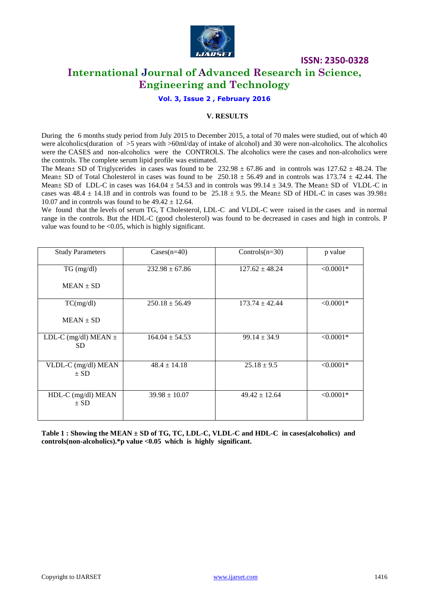

## **International Journal of Advanced Research in Science, Engineering and Technology**

#### **Vol. 3, Issue 2 , February 2016**

#### **V. RESULTS**

During the 6 months study period from July 2015 to December 2015, a total of 70 males were studied, out of which 40 were alcoholics(duration of  $>5$  years with  $>60$ ml/day of intake of alcohol) and 30 were non-alcoholics. The alcoholics were the CASES and non-alcoholics were the CONTROLS. The alcoholics were the cases and non-alcoholics were the controls. The complete serum lipid profile was estimated.

The Mean $\pm$  SD of Triglycerides in cases was found to be 232.98  $\pm$  67.86 and in controls was 127.62  $\pm$  48.24. The Mean $\pm$  SD of Total Cholesterol in cases was found to be 250.18  $\pm$  56.49 and in controls was 173.74  $\pm$  42.44. The Mean $\pm$  SD of LDL-C in cases was 164.04  $\pm$  54.53 and in controls was 99.14  $\pm$  34.9. The Mean $\pm$  SD of VLDL-C in cases was  $48.4 \pm 14.18$  and in controls was found to be  $25.18 \pm 9.5$ . the Mean $\pm$  SD of HDL-C in cases was 39.98 $\pm$ 10.07 and in controls was found to be  $49.42 \pm 12.64$ .

We found that the levels of serum TG, T Cholesterol, LDL-C and VLDL-C were raised in the cases and in normal range in the controls. But the HDL-C (good cholesterol) was found to be decreased in cases and high in controls. P value was found to be  $\langle 0.05$ , which is highly significant.

| <b>Study Parameters</b>         | $\text{Cases}(n=40)$ | Controls $(n=30)$  | p value     |
|---------------------------------|----------------------|--------------------|-------------|
| TG (mg/dl)                      | $232.98 \pm 67.86$   | $127.62 \pm 48.24$ | $< 0.0001*$ |
| $MEAN \pm SD$                   |                      |                    |             |
| TC(mg/dl)                       | $250.18 \pm 56.49$   | $173.74 \pm 42.44$ | $< 0.0001*$ |
| $MEAN \pm SD$                   |                      |                    |             |
| LDL-C (mg/dl) MEAN $\pm$<br>SD. | $164.04 \pm 54.53$   | $99.14 \pm 34.9$   | $< 0.0001*$ |
| VLDL-C (mg/dl) MEAN<br>$\pm$ SD | $48.4 \pm 14.18$     | $25.18 \pm 9.5$    | $< 0.0001*$ |
| HDL-C (mg/dl) MEAN<br>$\pm$ SD  | $39.98 \pm 10.07$    | $49.42 \pm 12.64$  | $< 0.0001*$ |

**Table 1 : Showing the MEAN ± SD of TG, TC, LDL-C, VLDL-C and HDL-C in cases(alcoholics) and controls(non-alcoholics).\*p value <0.05 which is highly significant.**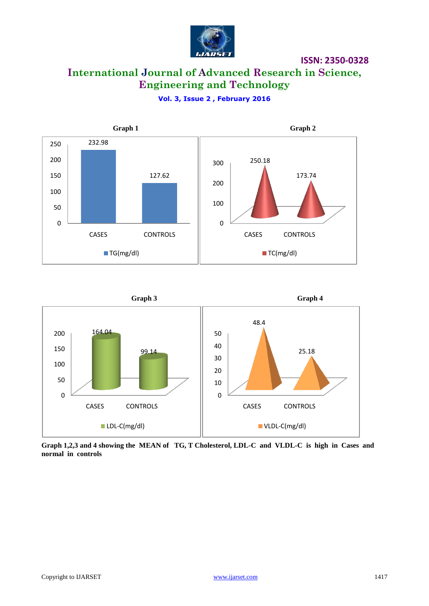

# **International Journal of Advanced Research in Science, Engineering and Technology**

**Vol. 3, Issue 2 , February 2016**





**Graph 1,2,3 and 4 showing the MEAN of TG, T Cholesterol, LDL-C and VLDL-C is high in Cases and normal in controls**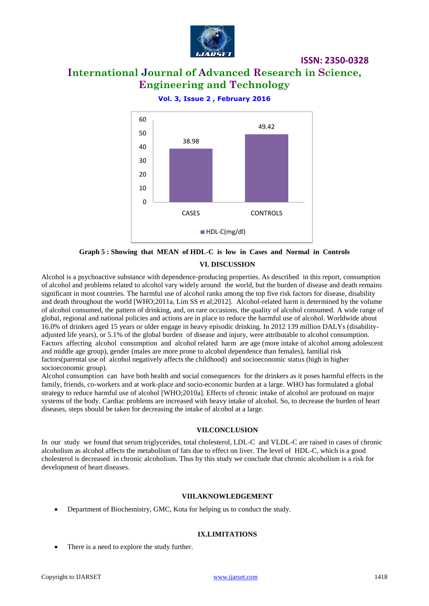

# **International Journal of Advanced Research in Science, Engineering and Technology**

**Vol. 3, Issue 2 , February 2016**



**Graph 5 : Showing that MEAN of HDL-C is low in Cases and Normal in Controls VI. DISCUSSION**

Alcohol is a psychoactive substance with dependence-producing properties. As described in this report, consumption of alcohol and problems related to alcohol vary widely around the world, but the burden of disease and death remains significant in most countries. The harmful use of alcohol ranks among the top five risk factors for disease, disability and death throughout the world [WHO;2011a, Lim SS et al;2012]. Alcohol-related harm is determined by the volume of alcohol consumed, the pattern of drinking, and, on rare occasions, the quality of alcohol consumed. A wide range of global, regional and national policies and actions are in place to reduce the harmful use of alcohol. Worldwide about 16.0% of drinkers aged 15 years or older engage in heavy episodic drinking. In 2012 139 million DALYs (disabilityadjusted life years), or 5.1% of the global burden of disease and injury, were attributable to alcohol consumption. Factors affecting alcohol consumption and alcohol related harm are age (more intake of alcohol among adolescent and middle age group), gender (males are more prone to alcohol dependence than females), familial risk factors(parental use of alcohol negatively affects the childhood) and socioeconomic status (high in higher socioeconomic group).

Alcohol consumption can have both health and social consequences for the drinkers as it poses harmful effects in the family, friends, co-workers and at work-place and socio-economic burden at a large. WHO has formulated a global strategy to reduce harmful use of alcohol [WHO;2010a]. Effects of chronic intake of alcohol are profound on major systems of the body. Cardiac problems are increased with heavy intake of alcohol. So, to decrease the burden of heart diseases, steps should be taken for decreasing the intake of alcohol at a large.

#### **VII.CONCLUSION**

In our study we found that serum triglycerides, total cholesterol, LDL-C and VLDL-C are raised in cases of chronic alcoholism as alcohol affects the metabolism of fats due to effect on liver. The level of HDL-C, which is a good cholesterol is decreased in chronic alcoholism. Thus by this study we conclude that chronic alcoholism is a risk for development of heart diseases.

#### **VIII.AKNOWLEDGEMENT**

Department of Biochemistry, GMC, Kota for helping us to conduct the study.

#### **IX.LIMITATIONS**

There is a need to explore the study further.